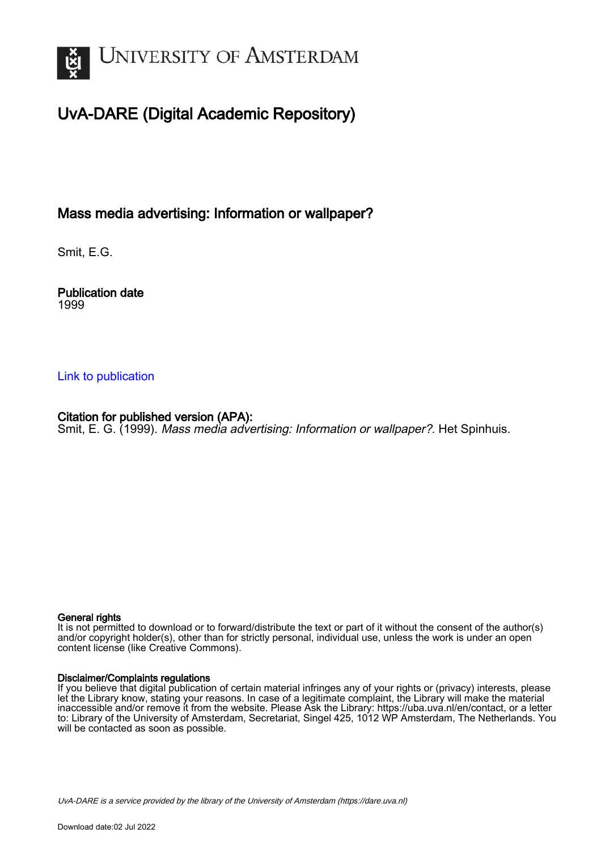

# UvA-DARE (Digital Academic Repository)

## Mass media advertising: Information or wallpaper?

Smit, E.G.

Publication date 1999

### [Link to publication](https://dare.uva.nl/personal/pure/en/publications/mass-media-advertising-information-or-wallpaper(95e0f7fd-4a3c-4417-af33-740c119be164).html)

### Citation for published version (APA):

Smit, E. G. (1999). Mass media advertising: Information or wallpaper?. Het Spinhuis.

#### General rights

It is not permitted to download or to forward/distribute the text or part of it without the consent of the author(s) and/or copyright holder(s), other than for strictly personal, individual use, unless the work is under an open content license (like Creative Commons).

### Disclaimer/Complaints regulations

If you believe that digital publication of certain material infringes any of your rights or (privacy) interests, please let the Library know, stating your reasons. In case of a legitimate complaint, the Library will make the material inaccessible and/or remove it from the website. Please Ask the Library: https://uba.uva.nl/en/contact, or a letter to: Library of the University of Amsterdam, Secretariat, Singel 425, 1012 WP Amsterdam, The Netherlands. You will be contacted as soon as possible.